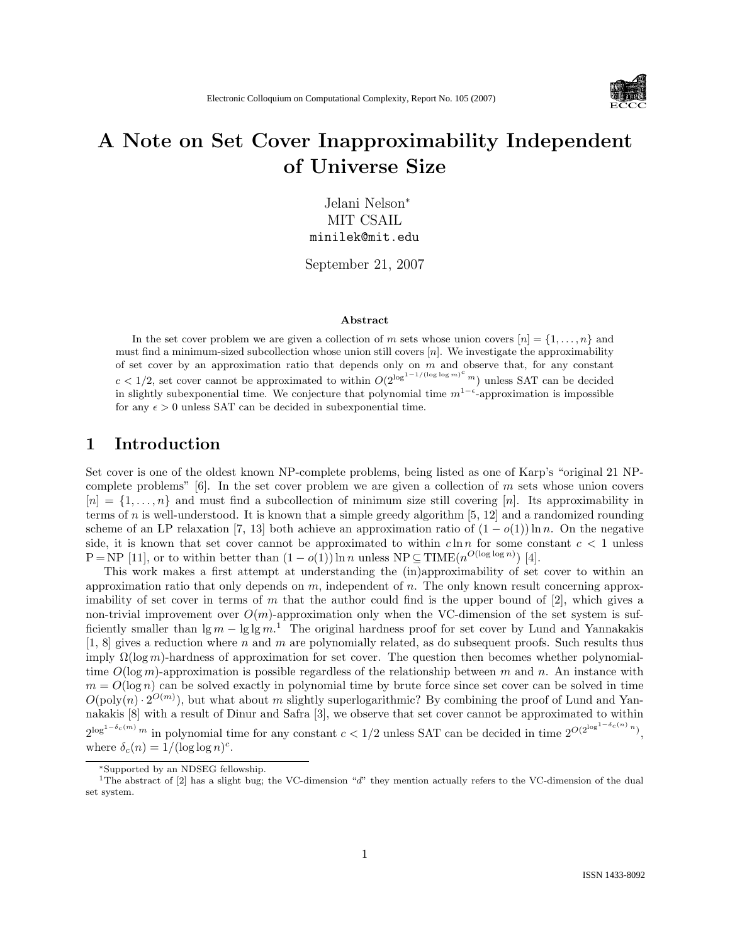

# A Note on Set Cover Inapproximability Independent of Universe Size

Jelani Nelson<sup>∗</sup> MIT CSAIL minilek@mit.edu

September 21, 2007

#### Abstract

In the set cover problem we are given a collection of m sets whose union covers  $[n] = \{1, \ldots, n\}$  and must find a minimum-sized subcollection whose union still covers  $[n]$ . We investigate the approximability of set cover by an approximation ratio that depends only on  $m$  and observe that, for any constant  $c < 1/2$ , set cover cannot be approximated to within  $O(2^{\log^{1-1/(\log \log m)^c} m})$  unless SAT can be decided in slightly subexponential time. We conjecture that polynomial time  $m^{1-\epsilon}$ -approximation is impossible for any  $\epsilon > 0$  unless SAT can be decided in subexponential time.

#### 1 Introduction

Set cover is one of the oldest known NP-complete problems, being listed as one of Karp's "original 21 NPcomplete problems"  $[6]$ . In the set cover problem we are given a collection of m sets whose union covers  $[n] = \{1, \ldots, n\}$  and must find a subcollection of minimum size still covering [n]. Its approximability in terms of n is well-understood. It is known that a simple greedy algorithm  $[5, 12]$  and a randomized rounding scheme of an LP relaxation [7, 13] both achieve an approximation ratio of  $(1 - o(1)) \ln n$ . On the negative side, it is known that set cover cannot be approximated to within  $c \ln n$  for some constant  $c < 1$  unless  $P = NP$  [11], or to within better than  $(1 - o(1)) \ln n$  unless  $NP \subseteq TIME(n^{O(\log \log n)})$  [4].

This work makes a first attempt at understanding the (in)approximability of set cover to within an approximation ratio that only depends on  $m$ , independent of  $n$ . The only known result concerning approximability of set cover in terms of m that the author could find is the upper bound of  $|2|$ , which gives a non-trivial improvement over  $O(m)$ -approximation only when the VC-dimension of the set system is sufficiently smaller than  $\lg m - \lg \lg m$ .<sup>1</sup> The original hardness proof for set cover by Lund and Yannakakis [1, 8] gives a reduction where n and m are polynomially related, as do subsequent proofs. Such results thus imply  $\Omega(\log m)$ -hardness of approximation for set cover. The question then becomes whether polynomialtime  $O(\log m)$ -approximation is possible regardless of the relationship between m and n. An instance with  $m = O(\log n)$  can be solved exactly in polynomial time by brute force since set cover can be solved in time  $O(poly(n) \cdot 2^{O(m)})$ , but what about m slightly superlogarithmic? By combining the proof of Lund and Yannakakis [8] with a result of Dinur and Safra [3], we observe that set cover cannot be approximated to within  $2^{\log^{1-\delta_c(m)} m}$  in polynomial time for any constant  $c < 1/2$  unless SAT can be decided in time  $2^{O(2^{\log^{1-\delta_c(n)} n})}$ , where  $\delta_c(n) = 1/(\log \log n)^c$ .

<sup>∗</sup>Supported by an NDSEG fellowship.

<sup>&</sup>lt;sup>1</sup>The abstract of  $[2]$  has a slight bug; the VC-dimension "d" they mention actually refers to the VC-dimension of the dual set system.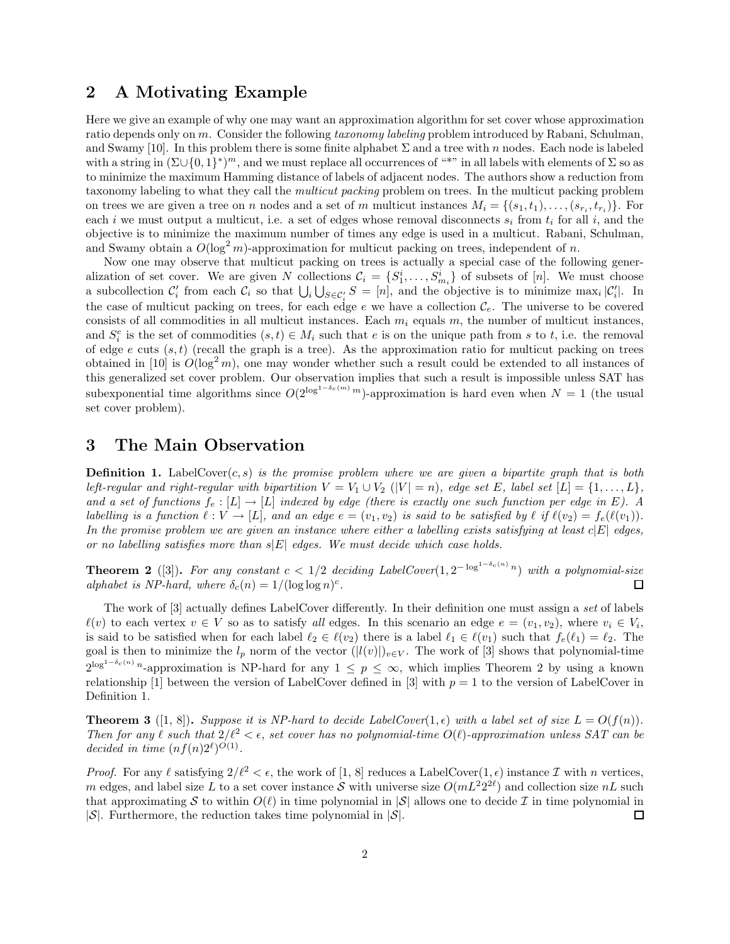### 2 A Motivating Example

Here we give an example of why one may want an approximation algorithm for set cover whose approximation ratio depends only on m. Consider the following taxonomy labeling problem introduced by Rabani, Schulman, and Swamy [10]. In this problem there is some finite alphabet  $\Sigma$  and a tree with n nodes. Each node is labeled with a string in  $(\Sigma \cup \{0,1\}^*)^m$ , and we must replace all occurrences of "\*" in all labels with elements of  $\Sigma$  so as to minimize the maximum Hamming distance of labels of adjacent nodes. The authors show a reduction from taxonomy labeling to what they call the multicut packing problem on trees. In the multicut packing problem on trees we are given a tree on n nodes and a set of m multicut instances  $M_i = \{(s_1, t_1), \ldots, (s_{r_i}, t_{r_i})\}$ . For each i we must output a multicut, i.e. a set of edges whose removal disconnects  $s_i$  from  $t_i$  for all i, and the objective is to minimize the maximum number of times any edge is used in a multicut. Rabani, Schulman, and Swamy obtain a  $O(\log^2 m)$ -approximation for multicut packing on trees, independent of n.

Now one may observe that multicut packing on trees is actually a special case of the following generalization of set cover. We are given N collections  $C_i = \{S_1^i, \ldots, S_{m_i}^i\}$  of subsets of [n]. We must choose a subcollection  $C_i$  from each  $C_i$  so that  $\bigcup_i \bigcup_{S \in C_i} S = [n]$ , and the objective is to minimize max<sub>i</sub>  $|C_i|$ . In the case of multicut packing on trees, for each edge e we have a collection  $\mathcal{C}_e$ . The universe to be covered consists of all commodities in all multicut instances. Each  $m_i$  equals m, the number of multicut instances, and  $S_i^e$  is the set of commodities  $(s,t) \in M_i$  such that e is on the unique path from s to t, i.e. the removal of edge e cuts  $(s, t)$  (recall the graph is a tree). As the approximation ratio for multicut packing on trees obtained in [10] is  $O(\log^2 m)$ , one may wonder whether such a result could be extended to all instances of this generalized set cover problem. Our observation implies that such a result is impossible unless SAT has subexponential time algorithms since  $O(2^{\log^{1-\delta_c(m)} m})$ -approximation is hard even when  $N = 1$  (the usual set cover problem).

#### 3 The Main Observation

**Definition 1.** LabelCover(c, s) is the promise problem where we are given a bipartite graph that is both left-regular and right-regular with bipartition  $V = V_1 \cup V_2$  ( $|V| = n$ ), edge set E, label set  $[L] = \{1, \ldots, L\}$ , and a set of functions  $f_e : [L] \to [L]$  indexed by edge (there is exactly one such function per edge in E). A labelling is a function  $\ell : V \to [L]$ , and an edge  $e = (v_1, v_2)$  is said to be satisfied by  $\ell$  if  $\ell(v_2) = f_e(\ell(v_1)).$ In the promise problem we are given an instance where either a labelling exists satisfying at least  $c|E|$  edges, or no labelling satisfies more than  $s|E|$  edges. We must decide which case holds.

**Theorem 2** ([3]). For any constant  $c < 1/2$  deciding LabelCover $(1, 2^{-\log^{1-\delta_c(n)}n})$  with a polynomial-size alphabet is NP-hard, where  $\delta_c(n) = 1/(\log \log n)^c$ . □

The work of [3] actually defines LabelCover differently. In their definition one must assign a set of labels  $\ell(v)$  to each vertex  $v \in V$  so as to satisfy all edges. In this scenario an edge  $e = (v_1, v_2)$ , where  $v_i \in V_i$ , is said to be satisfied when for each label  $\ell_2 \in \ell(v_2)$  there is a label  $\ell_1 \in \ell(v_1)$  such that  $f_e(\ell_1) = \ell_2$ . The goal is then to minimize the  $l_p$  norm of the vector  $(|l(v)|)_{v\in V}$ . The work of [3] shows that polynomial-time  $2^{\log^{1-\delta_c(n)} n}$ -approximation is NP-hard for any  $1 \leq p \leq \infty$ , which implies Theorem 2 by using a known relationship [1] between the version of LabelCover defined in [3] with  $p = 1$  to the version of LabelCover in Definition 1.

**Theorem 3** ([1, 8]). Suppose it is NP-hard to decide LabelCover(1,  $\epsilon$ ) with a label set of size  $L = O(f(n))$ . Then for any  $\ell$  such that  $2/\ell^2 < \epsilon$ , set cover has no polynomial-time  $O(\ell)$ -approximation unless SAT can be decided in time  $(nf(n)2^{\ell})^{O(1)}$ .

*Proof.* For any  $\ell$  satisfying  $2/\ell^2 < \epsilon$ , the work of [1, 8] reduces a LabelCover(1, $\epsilon$ ) instance  $\mathcal I$  with n vertices, m edges, and label size L to a set cover instance S with universe size  $O(mL^2 2^{2\ell})$  and collection size  $nL$  such that approximating S to within  $O(\ell)$  in time polynomial in  $|S|$  allows one to decide I in time polynomial in  $|S|$ .  $|\mathcal{S}|$ . Furthermore, the reduction takes time polynomial in  $|\mathcal{S}|$ .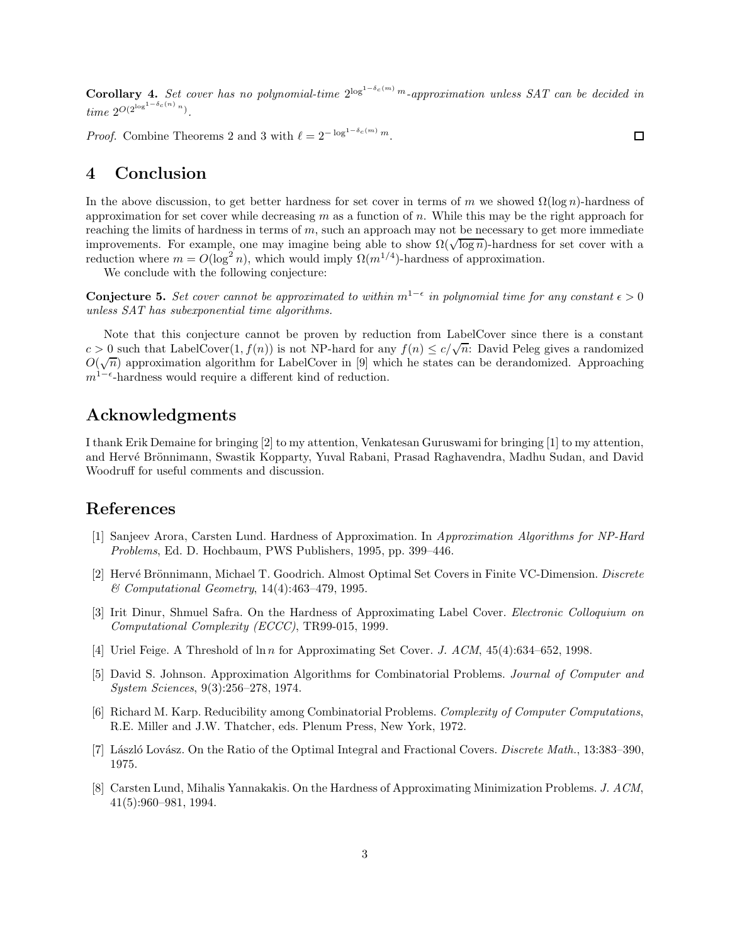**Corollary 4.** Set cover has no polynomial-time  $2^{\log^{1-\delta_c(m)} m}$ -approximation unless SAT can be decided in time  $2^{O(2^{\log^{1-\delta_c(n)} n})}$ .

*Proof.* Combine Theorems 2 and 3 with  $\ell = 2^{-\log^{1-\delta_c(m)} m}$ .

### 4 Conclusion

In the above discussion, to get better hardness for set cover in terms of m we showed  $\Omega(\log n)$ -hardness of approximation for set cover while decreasing m as a function of n. While this may be the right approach for reaching the limits of hardness in terms of  $m$ , such an approach may not be necessary to get more immediate improvements. For example, one may imagine being able to show  $\Omega(\sqrt{\log n})$ -hardness for set cover with a reduction where  $m = O(\log^2 n)$ , which would imply  $\Omega(m^{1/4})$ -hardness of approximation.

We conclude with the following conjecture:

**Conjecture 5.** Set cover cannot be approximated to within  $m^{1-\epsilon}$  in polynomial time for any constant  $\epsilon > 0$ unless SAT has subexponential time algorithms.

Note that this conjecture cannot be proven by reduction from LabelCover since there is a constant  $c > 0$  such that LabelCover $(1, f(n))$  is not NP-hard for any  $f(n) \le c/\sqrt{n}$ . David Peleg gives a randomized  $O(\sqrt{n})$  approximation algorithm for LabelCover in [9] which he states can be derandomized. Approaching  $m^{1-\epsilon}$ -hardness would require a different kind of reduction.

## Acknowledgments

I thank Erik Demaine for bringing [2] to my attention, Venkatesan Guruswami for bringing [1] to my attention, and Hervé Brönnimann, Swastik Kopparty, Yuval Rabani, Prasad Raghavendra, Madhu Sudan, and David Woodruff for useful comments and discussion.

#### References

- [1] Sanjeev Arora, Carsten Lund. Hardness of Approximation. In Approximation Algorithms for NP-Hard Problems, Ed. D. Hochbaum, PWS Publishers, 1995, pp. 399–446.
- [2] Hervé Brönnimann, Michael T. Goodrich. Almost Optimal Set Covers in Finite VC-Dimension. Discrete & Computational Geometry, 14(4):463–479, 1995.
- [3] Irit Dinur, Shmuel Safra. On the Hardness of Approximating Label Cover. Electronic Colloquium on Computational Complexity (ECCC), TR99-015, 1999.
- [4] Uriel Feige. A Threshold of  $\ln n$  for Approximating Set Cover. J. ACM, 45(4):634–652, 1998.
- [5] David S. Johnson. Approximation Algorithms for Combinatorial Problems. Journal of Computer and System Sciences, 9(3):256–278, 1974.
- [6] Richard M. Karp. Reducibility among Combinatorial Problems. Complexity of Computer Computations, R.E. Miller and J.W. Thatcher, eds. Plenum Press, New York, 1972.
- [7] László Lovász. On the Ratio of the Optimal Integral and Fractional Covers. Discrete Math., 13:383–390, 1975.
- [8] Carsten Lund, Mihalis Yannakakis. On the Hardness of Approximating Minimization Problems. J. ACM, 41(5):960–981, 1994.

 $\Box$